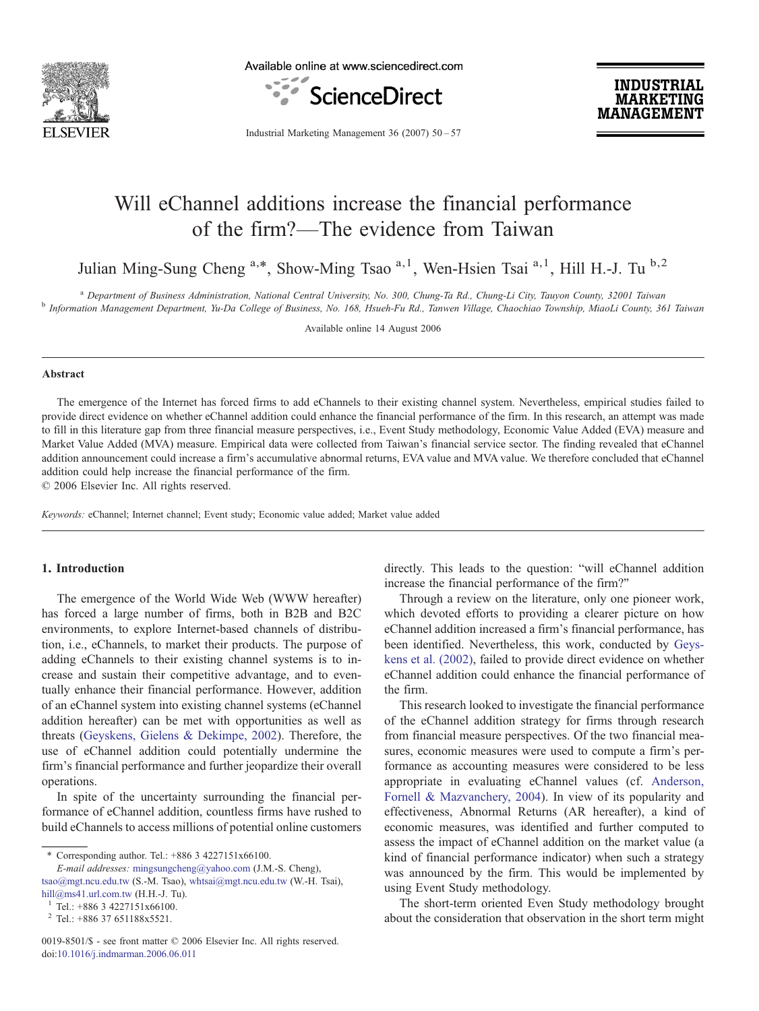

Available online at www.sciencedirect.com



**INDUSTRIAL MARKETING MANAGEMENT** 

Industrial Marketing Management 36 (2007) 50–57

## Will eChannel additions increase the financial performance of the firm?—The evidence from Taiwan

Julian Ming-Sung Cheng <sup>a,\*</sup>, Show-Ming Tsao<sup>a,1</sup>, Wen-Hsien Tsai<sup>a,1</sup>, Hill H.-J. Tu <sup>b,2</sup>

<sup>a</sup> Department of Business Administration, National Central University, No. 300, Chung-Ta Rd., Chung-Li City, Tauyon County, 32001 Taiwan<br><sup>b</sup> Information Management Department, Yu-Da College of Business, No. 168, Hsueh-Fu

Available online 14 August 2006

#### Abstract

The emergence of the Internet has forced firms to add eChannels to their existing channel system. Nevertheless, empirical studies failed to provide direct evidence on whether eChannel addition could enhance the financial performance of the firm. In this research, an attempt was made to fill in this literature gap from three financial measure perspectives, i.e., Event Study methodology, Economic Value Added (EVA) measure and Market Value Added (MVA) measure. Empirical data were collected from Taiwan's financial service sector. The finding revealed that eChannel addition announcement could increase a firm's accumulative abnormal returns, EVA value and MVA value. We therefore concluded that eChannel addition could help increase the financial performance of the firm.

© 2006 Elsevier Inc. All rights reserved.

Keywords: eChannel; Internet channel; Event study; Economic value added; Market value added

## 1. Introduction

The emergence of the World Wide Web (WWW hereafter) has forced a large number of firms, both in B2B and B2C environments, to explore Internet-based channels of distribution, i.e., eChannels, to market their products. The purpose of adding eChannels to their existing channel systems is to increase and sustain their competitive advantage, and to eventually enhance their financial performance. However, addition of an eChannel system into existing channel systems (eChannel addition hereafter) can be met with opportunities as well as threats ([Geyskens, Gielens & Dekimpe, 2002\)](#page--1-0). Therefore, the use of eChannel addition could potentially undermine the firm's financial performance and further jeopardize their overall operations.

In spite of the uncertainty surrounding the financial performance of eChannel addition, countless firms have rushed to build eChannels to access millions of potential online customers

⁎ Corresponding author. Tel.: +886 3 4227151x66100.

E-mail addresses: [mingsungcheng@yahoo.com](mailto:mingsungcheng@yahoo.com) (J.M.-S. Cheng), [tsao@mgt.ncu.edu.tw](mailto:tsao@mgt.ncu.edu.tw) (S.-M. Tsao), [whtsai@mgt.ncu.edu.tw](mailto:whtsai@mgt.ncu.edu.tw) (W.-H. Tsai), hill@ms41.url.com.tw (H.H.-J. Tu). directly. This leads to the question: "will eChannel addition increase the financial performance of the firm?"

Through a review on the literature, only one pioneer work, which devoted efforts to providing a clearer picture on how eChannel addition increased a firm's financial performance, has been identified. Nevertheless, this work, conducted by [Geys](#page--1-0)[kens et al. \(2002\)](#page--1-0), failed to provide direct evidence on whether eChannel addition could enhance the financial performance of the firm.

This research looked to investigate the financial performance of the eChannel addition strategy for firms through research from financial measure perspectives. Of the two financial measures, economic measures were used to compute a firm's performance as accounting measures were considered to be less appropriate in evaluating eChannel values (cf. [Anderson,](#page--1-0) [Fornell & Mazvanchery, 2004\)](#page--1-0). In view of its popularity and effectiveness, Abnormal Returns (AR hereafter), a kind of economic measures, was identified and further computed to assess the impact of eChannel addition on the market value (a kind of financial performance indicator) when such a strategy was announced by the firm. This would be implemented by using Event Study methodology.

The short-term oriented Even Study methodology brought about the consideration that observation in the short term might

<sup>&</sup>lt;sup>1</sup> Tel.: +886 3 4227151x66100.<br><sup>2</sup> Tel.: +886 37 651188x5521.

<sup>0019-8501/\$ -</sup> see front matter © 2006 Elsevier Inc. All rights reserved. doi:[10.1016/j.indmarman.2006.06.011](http://dx.doi.org/10.1016/j.indmarman.2006.06.011)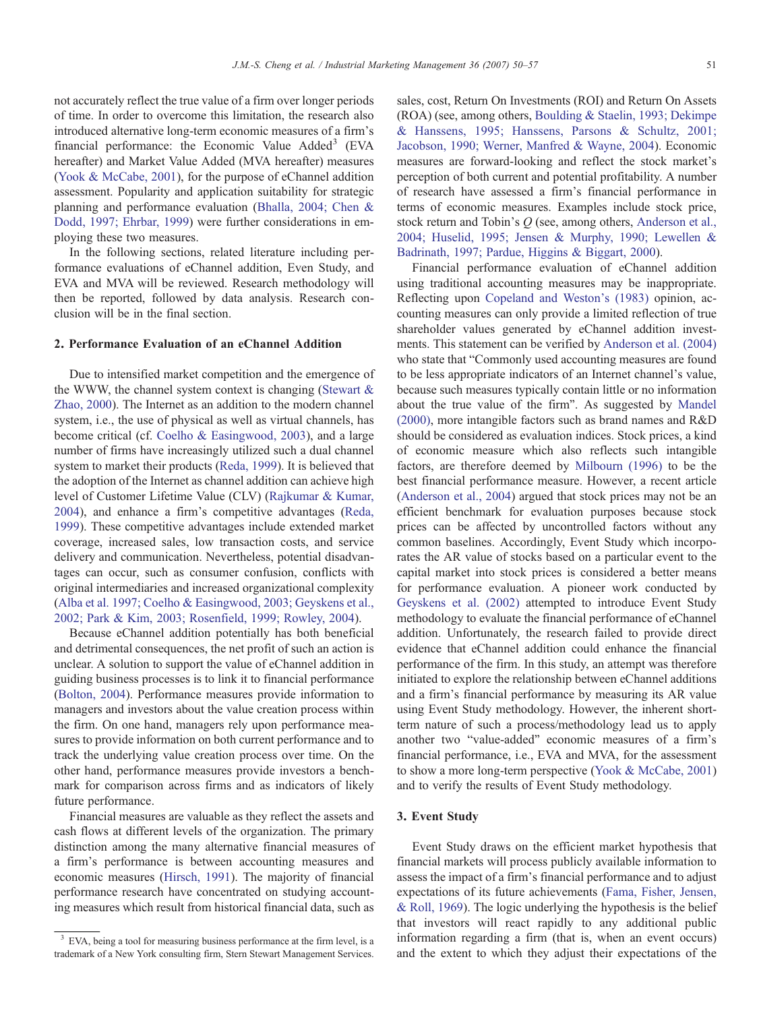not accurately reflect the true value of a firm over longer periods of time. In order to overcome this limitation, the research also introduced alternative long-term economic measures of a firm's financial performance: the Economic Value  $\text{Added}^3$  (EVA) hereafter) and Market Value Added (MVA hereafter) measures ([Yook & McCabe, 2001\)](#page--1-0), for the purpose of eChannel addition assessment. Popularity and application suitability for strategic planning and performance evaluation ([Bhalla, 2004; Chen &](#page--1-0) [Dodd, 1997; Ehrbar, 1999](#page--1-0)) were further considerations in employing these two measures.

In the following sections, related literature including performance evaluations of eChannel addition, Even Study, and EVA and MVA will be reviewed. Research methodology will then be reported, followed by data analysis. Research conclusion will be in the final section.

### 2. Performance Evaluation of an eChannel Addition

Due to intensified market competition and the emergence of the WWW, the channel system context is changing (Stewart  $\&$ [Zhao, 2000\)](#page--1-0). The Internet as an addition to the modern channel system, i.e., the use of physical as well as virtual channels, has become critical (cf. [Coelho & Easingwood, 2003](#page--1-0)), and a large number of firms have increasingly utilized such a dual channel system to market their products [\(Reda, 1999\)](#page--1-0). It is believed that the adoption of the Internet as channel addition can achieve high level of Customer Lifetime Value (CLV) [\(Rajkumar & Kumar,](#page--1-0) [2004](#page--1-0)), and enhance a firm's competitive advantages ([Reda,](#page--1-0) [1999](#page--1-0)). These competitive advantages include extended market coverage, increased sales, low transaction costs, and service delivery and communication. Nevertheless, potential disadvantages can occur, such as consumer confusion, conflicts with original intermediaries and increased organizational complexity ([Alba et al. 1997; Coelho & Easingwood, 2003; Geyskens et al.,](#page--1-0) [2002; Park & Kim, 2003; Rosenfield, 1999; Rowley, 2004](#page--1-0)).

Because eChannel addition potentially has both beneficial and detrimental consequences, the net profit of such an action is unclear. A solution to support the value of eChannel addition in guiding business processes is to link it to financial performance ([Bolton, 2004\)](#page--1-0). Performance measures provide information to managers and investors about the value creation process within the firm. On one hand, managers rely upon performance measures to provide information on both current performance and to track the underlying value creation process over time. On the other hand, performance measures provide investors a benchmark for comparison across firms and as indicators of likely future performance.

Financial measures are valuable as they reflect the assets and cash flows at different levels of the organization. The primary distinction among the many alternative financial measures of a firm's performance is between accounting measures and economic measures ([Hirsch, 1991](#page--1-0)). The majority of financial performance research have concentrated on studying accounting measures which result from historical financial data, such as

sales, cost, Return On Investments (ROI) and Return On Assets (ROA) (see, among others, [Boulding & Staelin, 1993; Dekimpe](#page--1-0) [& Hanssens, 1995; Hanssens, Parsons & Schultz, 2001;](#page--1-0) [Jacobson, 1990; Werner, Manfred & Wayne, 2004\)](#page--1-0). Economic measures are forward-looking and reflect the stock market's perception of both current and potential profitability. A number of research have assessed a firm's financial performance in terms of economic measures. Examples include stock price, stock return and Tobin's Q (see, among others, [Anderson et al.,](#page--1-0) [2004; Huselid, 1995; Jensen & Murphy, 1990; Lewellen &](#page--1-0) [Badrinath, 1997; Pardue, Higgins & Biggart, 2000\)](#page--1-0).

Financial performance evaluation of eChannel addition using traditional accounting measures may be inappropriate. Reflecting upon [Copeland and Weston's \(1983\)](#page--1-0) opinion, accounting measures can only provide a limited reflection of true shareholder values generated by eChannel addition investments. This statement can be verified by [Anderson et al. \(2004\)](#page--1-0) who state that "Commonly used accounting measures are found to be less appropriate indicators of an Internet channel's value, because such measures typically contain little or no information about the true value of the firm". As suggested by [Mandel](#page--1-0) [\(2000\),](#page--1-0) more intangible factors such as brand names and R&D should be considered as evaluation indices. Stock prices, a kind of economic measure which also reflects such intangible factors, are therefore deemed by [Milbourn \(1996\)](#page--1-0) to be the best financial performance measure. However, a recent article ([Anderson et al., 2004](#page--1-0)) argued that stock prices may not be an efficient benchmark for evaluation purposes because stock prices can be affected by uncontrolled factors without any common baselines. Accordingly, Event Study which incorporates the AR value of stocks based on a particular event to the capital market into stock prices is considered a better means for performance evaluation. A pioneer work conducted by [Geyskens et al. \(2002\)](#page--1-0) attempted to introduce Event Study methodology to evaluate the financial performance of eChannel addition. Unfortunately, the research failed to provide direct evidence that eChannel addition could enhance the financial performance of the firm. In this study, an attempt was therefore initiated to explore the relationship between eChannel additions and a firm's financial performance by measuring its AR value using Event Study methodology. However, the inherent shortterm nature of such a process/methodology lead us to apply another two "value-added" economic measures of a firm's financial performance, i.e., EVA and MVA, for the assessment to show a more long-term perspective ([Yook & McCabe, 2001](#page--1-0)) and to verify the results of Event Study methodology.

#### 3. Event Study

Event Study draws on the efficient market hypothesis that financial markets will process publicly available information to assess the impact of a firm's financial performance and to adjust expectations of its future achievements ([Fama, Fisher, Jensen,](#page--1-0) [& Roll, 1969\)](#page--1-0). The logic underlying the hypothesis is the belief that investors will react rapidly to any additional public information regarding a firm (that is, when an event occurs) and the extent to which they adjust their expectations of the

 $3$  EVA, being a tool for measuring business performance at the firm level, is a trademark of a New York consulting firm, Stern Stewart Management Services.